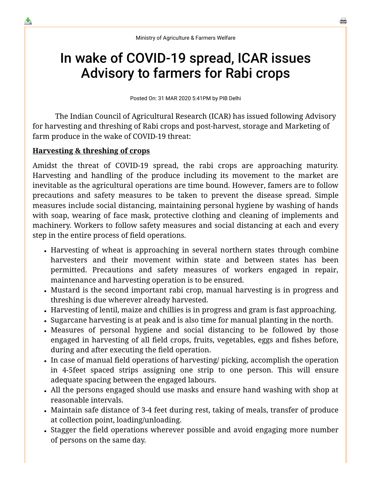# In wake of COVID-19 spread, ICAR issues Advisory to farmers for Rabi crops

Posted On: 31 MAR 2020 5:41PM by PIB Delhi

 The Indian Council of Agricultural Research (ICAR) has issued following Advisory for harvesting and threshing of Rabi crops and post-harvest, storage and Marketing of farm produce in the wake of COVID-19 threat:

### **Harvesting & threshing of crops**

≛

Amidst the threat of COVID-19 spread, the rabi crops are approaching maturity. Harvesting and handling of the produce including its movement to the market are inevitable as the agricultural operations are time bound. However, famers are to follow precautions and safety measures to be taken to prevent the disease spread. Simple measures include social distancing, maintaining personal hygiene by washing of hands with soap, wearing of face mask, protective clothing and cleaning of implements and machinery. Workers to follow safety measures and social distancing at each and every step in the entire process of field operations.

- Harvesting of wheat is approaching in several northern states through combine harvesters and their movement within state and between states has been permitted. Precautions and safety measures of workers engaged in repair, maintenance and harvesting operation is to be ensured.
- Mustard is the second important rabi crop, manual harvesting is in progress and threshing is due wherever already harvested.
- Harvesting of lentil, maize and chillies is in progress and gram is fast approaching.
- Sugarcane harvesting is at peak and is also time for manual planting in the north.
- Measures of personal hygiene and social distancing to be followed by those engaged in harvesting of all field crops, fruits, vegetables, eggs and fishes before, during and after executing the field operation.
- In case of manual field operations of harvesting/ picking, accomplish the operation in 4-5feet spaced strips assigning one strip to one person. This will ensure adequate spacing between the engaged labours.
- All the persons engaged should use masks and ensure hand washing with shop at reasonable intervals.
- Maintain safe distance of 3-4 feet during rest, taking of meals, transfer of produce at collection point, loading/unloading.
- Stagger the field operations wherever possible and avoid engaging more number of persons on the same day.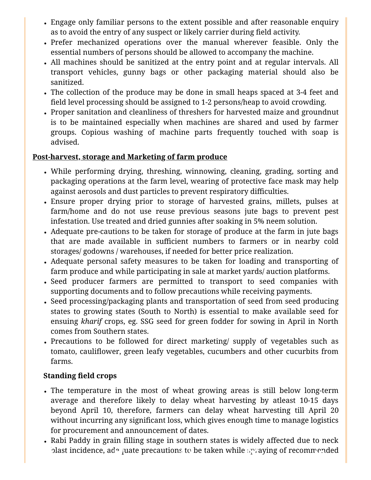- Engage only familiar persons to the extent possible and after reasonable enquiry as to avoid the entry of any suspect or likely carrier during field activity.
- Prefer mechanized operations over the manual wherever feasible. Only the essential numbers of persons should be allowed to accompany the machine.
- All machines should be sanitized at the entry point and at regular intervals. All transport vehicles, gunny bags or other packaging material should also be sanitized.
- The collection of the produce may be done in small heaps spaced at 3-4 feet and field level processing should be assigned to 1-2 persons/heap to avoid crowding.
- Proper sanitation and cleanliness of threshers for harvested maize and groundnut is to be maintained especially when machines are shared and used by farmer groups. Copious washing of machine parts frequently touched with soap is advised.

### **Post-harvest, storage and Marketing of farm produce**

- While performing drying, threshing, winnowing, cleaning, grading, sorting and packaging operations at the farm level, wearing of protective face mask may help against aerosols and dust particles to prevent respiratory difficulties.
- Ensure proper drying prior to storage of harvested grains, millets, pulses at farm/home and do not use reuse previous seasons jute bags to prevent pest infestation. Use treated and dried gunnies after soaking in 5% neem solution.
- Adequate pre-cautions to be taken for storage of produce at the farm in jute bags that are made available in sufficient numbers to farmers or in nearby cold storages/ godowns / warehouses, if needed for better price realization.
- Adequate personal safety measures to be taken for loading and transporting of farm produce and while participating in sale at market yards/ auction platforms.
- Seed producer farmers are permitted to transport to seed companies with supporting documents and to follow precautions while receiving payments.
- Seed processing/packaging plants and transportation of seed from seed producing states to growing states (South to North) is essential to make available seed for ensuing *kharif* crops, eg. SSG seed for green fodder for sowing in April in North comes from Southern states.
- Precautions to be followed for direct marketing/ supply of vegetables such as tomato, cauliflower, green leafy vegetables, cucumbers and other cucurbits from farms.

## **Standing field crops**

- The temperature in the most of wheat growing areas is still below long-term average and therefore likely to delay wheat harvesting by atleast 10-15 days beyond April 10, therefore, farmers can delay wheat harvesting till April 20 without incurring any significant loss, which gives enough time to manage logistics for procurement and announcement of dates.
- Rabi Paddy in grain filling stage in southern states is widely affected due to neck blast incidence, adopuate precautions to be taken while spraying of recommended